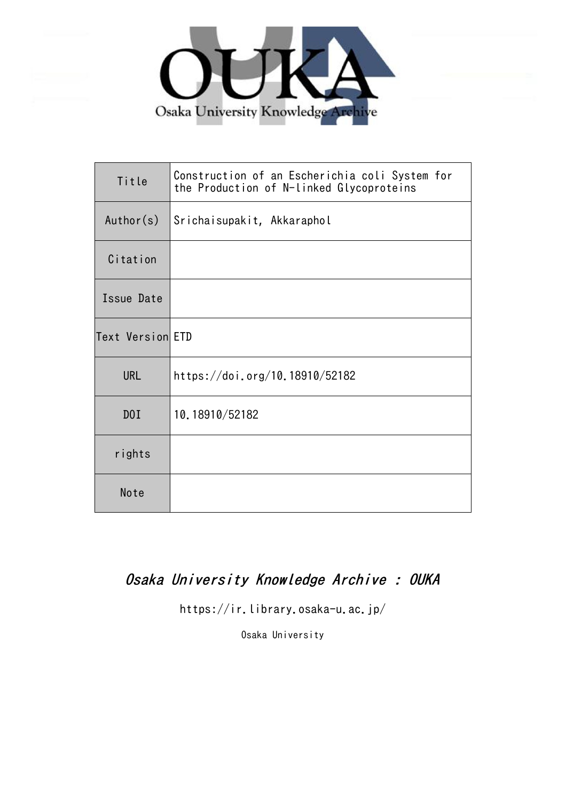

| Title            | Construction of an Escherichia coli System for<br>the Production of N-linked Glycoproteins |  |  |  |
|------------------|--------------------------------------------------------------------------------------------|--|--|--|
| Author(s)        | Srichaisupakit, Akkaraphol                                                                 |  |  |  |
| Citation         |                                                                                            |  |  |  |
| Issue Date       |                                                                                            |  |  |  |
| Text Version ETD |                                                                                            |  |  |  |
| <b>URL</b>       | https://doi.org/10.18910/52182                                                             |  |  |  |
| D0I              | 10.18910/52182                                                                             |  |  |  |
| rights           |                                                                                            |  |  |  |
| Note             |                                                                                            |  |  |  |

## Osaka University Knowledge Archive : OUKA

https://ir.library.osaka-u.ac.jp/

Osaka University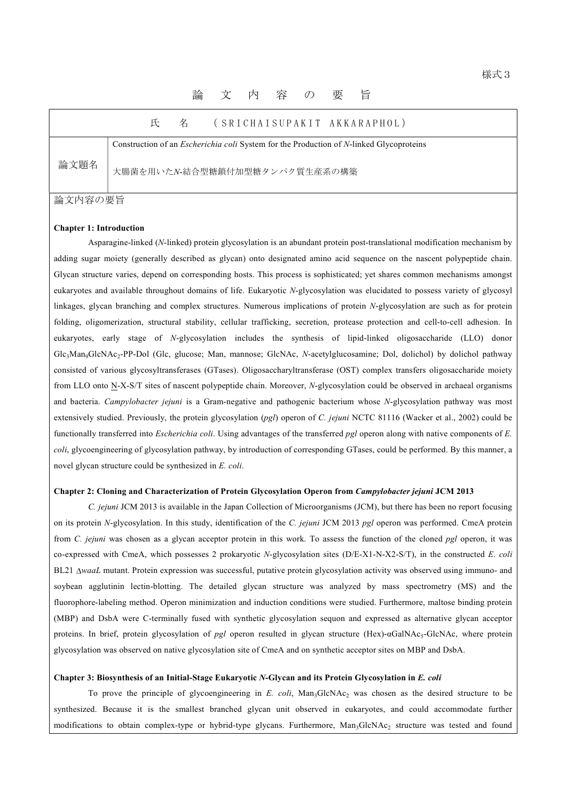# 論 文 内 容 の 要 旨

|      | (SRICHAISUPAKIT AKKARAPHOL)                                                                            |  |  |  |  |  |
|------|--------------------------------------------------------------------------------------------------------|--|--|--|--|--|
| 論文題名 | Construction of an <i>Escherichia coli</i> System for the Production of <i>N</i> -linked Glycoproteins |  |  |  |  |  |
|      | 大腸菌を用いたN-結合型糖鎖付加型糖タンパク質生産系の構築                                                                          |  |  |  |  |  |

論文内容の要旨

#### **Chapter 1: Introduction**

Asparagine-linked (*N*-linked) protein glycosylation is an abundant protein post-translational modification mechanism by adding sugar moiety (generally described as glycan) onto designated amino acid sequence on the nascent polypeptide chain. Glycan structure varies, depend on corresponding hosts. This process is sophisticated; yet shares common mechanisms amongst eukaryotes and available throughout domains of life. Eukaryotic *N*-glycosylation was elucidated to possess variety of glycosyl linkages, glycan branching and complex structures. Numerous implications of protein *N*-glycosylation are such as for protein folding, oligomerization, structural stability, cellular trafficking, secretion, protease protection and cell-to-cell adhesion. In eukaryotes, early stage of *N*-glycosylation includes the synthesis of lipid-linked oligosaccharide (LLO) donor Glc<sub>3</sub>Man<sub>9</sub>GlcNAc<sub>2</sub>-PP-Dol (Glc, glucose; Man, mannose; GlcNAc, *N*-acetylglucosamine; Dol, dolichol) by dolichol pathway consisted of various glycosyltransferases (GTases). Oligosaccharyltransferase (OST) complex transfers oligosaccharide moiety from LLO onto N-X-S/T sites of nascent polypeptide chain. Moreover, *N*-glycosylation could be observed in archaeal organisms and bacteria. *Campylobacter jejuni* is a Gram-negative and pathogenic bacterium whose *N*-glycosylation pathway was most extensively studied. Previously, the protein glycosylation (*pgl*) operon of *C. jejuni* NCTC 81116 (Wacker et al., 2002) could be functionally transferred into *Escherichia coli*. Using advantages of the transferred *pgl* operon along with native components of *E. coli*, glycoengineering of glycosylation pathway, by introduction of corresponding GTases, could be performed. By this manner, a novel glycan structure could be synthesized in *E. coli*.

#### **Chapter 2: Cloning and Characterization of Protein Glycosylation Operon from** *Campylobacter jejuni* **JCM 2013**

*C. jejuni* JCM 2013 is available in the Japan Collection of Microorganisms (JCM), but there has been no report focusing on its protein *N*-glycosylation. In this study, identification of the *C. jejuni* JCM 2013 *pgl* operon was performed. CmeA protein from *C. jejuni* was chosen as a glycan acceptor protein in this work. To assess the function of the cloned *pgl* operon, it was co-expressed with CmeA, which possesses 2 prokaryotic *N*-glycosylation sites (D/E-X1-N-X2-S/T), in the constructed *E. coli*  BL21 *AwaaL* mutant. Protein expression was successful, putative protein glycosylation activity was observed using immuno- and soybean agglutinin lectin-blotting. The detailed glycan structure was analyzed by mass spectrometry (MS) and the fluorophore-labeling method. Operon minimization and induction conditions were studied. Furthermore, maltose binding protein (MBP) and DsbA were C-terminally fused with synthetic glycosylation sequon and expressed as alternative glycan acceptor proteins. In brief, protein glycosylation of *pgl* operon resulted in glycan structure (Hex)-aGalNAc<sub>5</sub>-GlcNAc, where protein glycosylation was observed on native glycosylation site of CmeA and on synthetic acceptor sites on MBP and DsbA.

#### **Chapter 3: Biosynthesis of an Initial-Stage Eukaryotic** *N***-Glycan and its Protein Glycosylation in** *E. coli*

To prove the principle of glycoengineering in *E. coli*, Man<sub>3</sub>GlcNAc<sub>2</sub> was chosen as the desired structure to be synthesized. Because it is the smallest branched glycan unit observed in eukaryotes, and could accommodate further modifications to obtain complex-type or hybrid-type glycans. Furthermore, Man<sub>3</sub>GlcNAc<sub>2</sub> structure was tested and found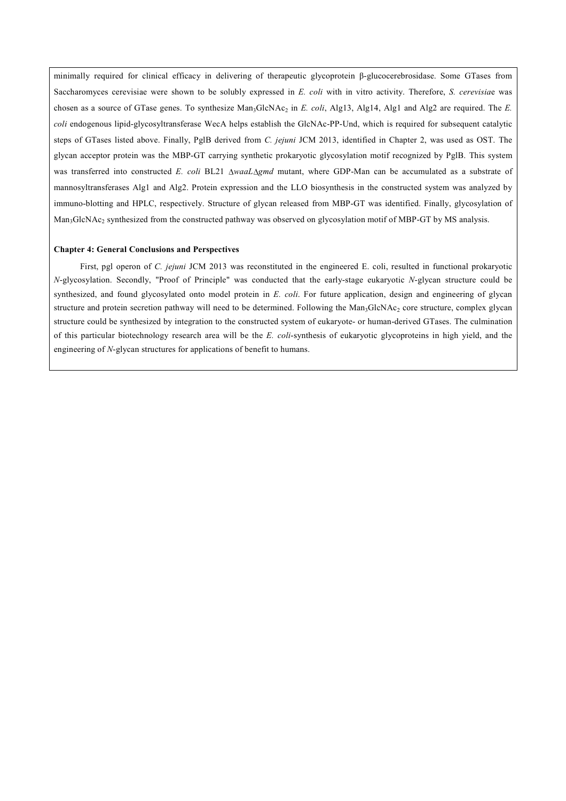minimally required for clinical efficacy in delivering of therapeutic glycoprotein  $\beta$ -glucocerebrosidase. Some GTases from Saccharomyces cerevisiae were shown to be solubly expressed in *E. coli* with in vitro activity. Therefore, *S. cerevisia*e was chosen as a source of GTase genes. To synthesize Man<sub>3</sub>GlcNAc<sub>2</sub> in *E. coli*, Alg13, Alg14, Alg1 and Alg2 are required. The *E. coli* endogenous lipid-glycosyltransferase WecA helps establish the GlcNAc-PP-Und, which is required for subsequent catalytic steps of GTases listed above. Finally, PglB derived from *C. jejuni* JCM 2013, identified in Chapter 2, was used as OST. The glycan acceptor protein was the MBP-GT carrying synthetic prokaryotic glycosylation motif recognized by PglB. This system was transferred into constructed *E. coli* BL21  $\Delta$ *waaL*  $\Delta$ *gmd* mutant, where GDP-Man can be accumulated as a substrate of mannosyltransferases Alg1 and Alg2. Protein expression and the LLO biosynthesis in the constructed system was analyzed by immuno-blotting and HPLC, respectively. Structure of glycan released from MBP-GT was identified. Finally, glycosylation of Man<sub>3</sub>GlcNAc<sub>2</sub> synthesized from the constructed pathway was observed on glycosylation motif of MBP-GT by MS analysis.

#### **Chapter 4: General Conclusions and Perspectives**

 First, pgl operon of *C. jejuni* JCM 2013 was reconstituted in the engineered E. coli, resulted in functional prokaryotic *N*-glycosylation. Secondly, "Proof of Principle" was conducted that the early-stage eukaryotic *N*-glycan structure could be synthesized, and found glycosylated onto model protein in *E. coli*. For future application, design and engineering of glycan structure and protein secretion pathway will need to be determined. Following the Man<sub>3</sub>GlcNAc<sub>2</sub> core structure, complex glycan structure could be synthesized by integration to the constructed system of eukaryote- or human-derived GTases. The culmination of this particular biotechnology research area will be the *E. coli*-synthesis of eukaryotic glycoproteins in high yield, and the engineering of *N*-glycan structures for applications of benefit to humans.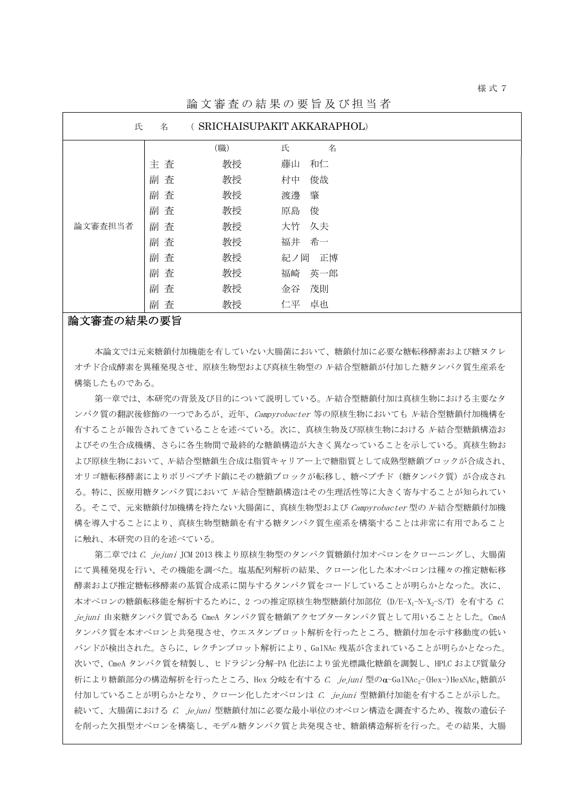| ( SRICHAISUPAKIT AKKARAPHOL)<br>氏<br>名 |        |     |           |  |  |
|----------------------------------------|--------|-----|-----------|--|--|
|                                        |        | (職) | 氏<br>名    |  |  |
| 論文審査担当者                                | 主査     | 教授  | 藤山<br>和仁  |  |  |
|                                        | 副查     | 教授  | 俊哉<br>村中  |  |  |
|                                        | 副查     | 教授  | 渡邊<br>肇   |  |  |
|                                        | 副查     | 教授  | 原島<br>俊   |  |  |
|                                        | 副查     | 教授  | 大竹<br>久夫  |  |  |
|                                        | 副查     | 教授  | 福井<br>希一  |  |  |
|                                        | 副查     | 教授  | 紀ノ岡<br>正博 |  |  |
|                                        | 副查     | 教授  | 福崎<br>英一郎 |  |  |
|                                        | 副查     | 教授  | 茂則<br>金谷  |  |  |
|                                        | 副<br>査 | 教授  | 卓也<br>仁平  |  |  |

論文審査の結果の要旨及び担当者

### 論文審査の結果の要旨

本論文では元来糖鎖付加機能を有していない大腸菌において、糖鎖付加に必要な糖転移酵素および糖ヌクレ オチド合成酵素を異種発現させ、原核生物型および真核生物型の <sup>N</sup>-結合型糖鎖が付加した糖タンパク質生産系を 構築したものである。

第一章では、本研究の背景及び目的について説明している。N-結合型糖鎖付加は真核生物における主要なタ ンパク質の翻訳後修飾の一つであるが、近年、Campyrobacter 等の原核生物においても、N-結合型糖鎖付加機構を 有することが報告されてきていることを述べている。次に、真核生物及び原核生物における <sup>N</sup>-結合型糖鎖構造お よびその生合成機構、さらに各生物間で最終的な糖鎖構造が大きく異なっていることを示している。真核生物お よび原核生物において、N-結合型糖鎖生合成は脂質キャリアー上で糖脂質として成熟型糖鎖ブロックが合成され、 オリゴ糖転移酵素によりポリペプチド鎖にその糖鎖ブロックが転移し、糖ペプチド(糖タンパク質)が合成され る。特に、医療用糖タンパク質において <sup>N</sup>-結合型糖鎖構造はその生理活性等に大きく寄与することが知られてい る。そこで、元来糖鎖付加機構を持たない大腸菌に、真核生物型および Campyrobacter 型の M結合型糖鎖付加機 構を導入することにより、真核生物型糖鎖を有する糖タンパク質生産系を構築することは非常に有用であること に触れ、本研究の目的を述べている。

第二章では C. jejuni JCM 2013 株より原核生物型のタンパク質糖鎖付加オペロンをクローニングし、大腸菌 にて異種発現を行い、その機能を調べた。塩基配列解析の結果、クローン化した本オペロンは種々の推定糖転移 酵素および推定糖転移酵素の基質合成系に関与するタンパク質をコードしていることが明らかとなった。次に、 本オペロンの糖鎖転移能を解析するために、2つの推定原核生物型糖鎖付加部位 (D/E-X<sub>1</sub>-N-X<sub>2</sub>-S/T) を有する C. jejuni 由来糖タンパク質である CmeA タンパク質を糖鎖アクセプタータンパク質として用いることとした。CmeA タンパク質を本オペロンと共発現させ、ウエスタンブロット解析を行ったところ、糖鎖付加を示す移動度の低い バンドが検出された。さらに、レクチンブロット解析により、GalNAc 残基が含まれていることが明らかとなった。 次いで、CmeA タンパク質を精製し、ヒドラジン分解-PA 化法により蛍光標識化糖鎖を調製し、HPLC および質量分 析により糖鎖部分の構造解析を行ったところ、Hex 分岐を有する C. jejuni 型のα-GalNAc<sub>2</sub>-(Hex-)HexNAc<sub>4</sub>糖鎖が 付加していることが明らかとなり、クローン化したオペロンは C. jejuni 型糖鎖付加能を有することが示した。 続いて、大腸菌における C. jejuni 型糖鎖付加に必要な最小単位のオペロン構造を調査するため、複数の遺伝子 を削った欠損型オペロンを構築し、モデル糖タンパク質と共発現させ、糖鎖構造解析を行った。その結果、大腸